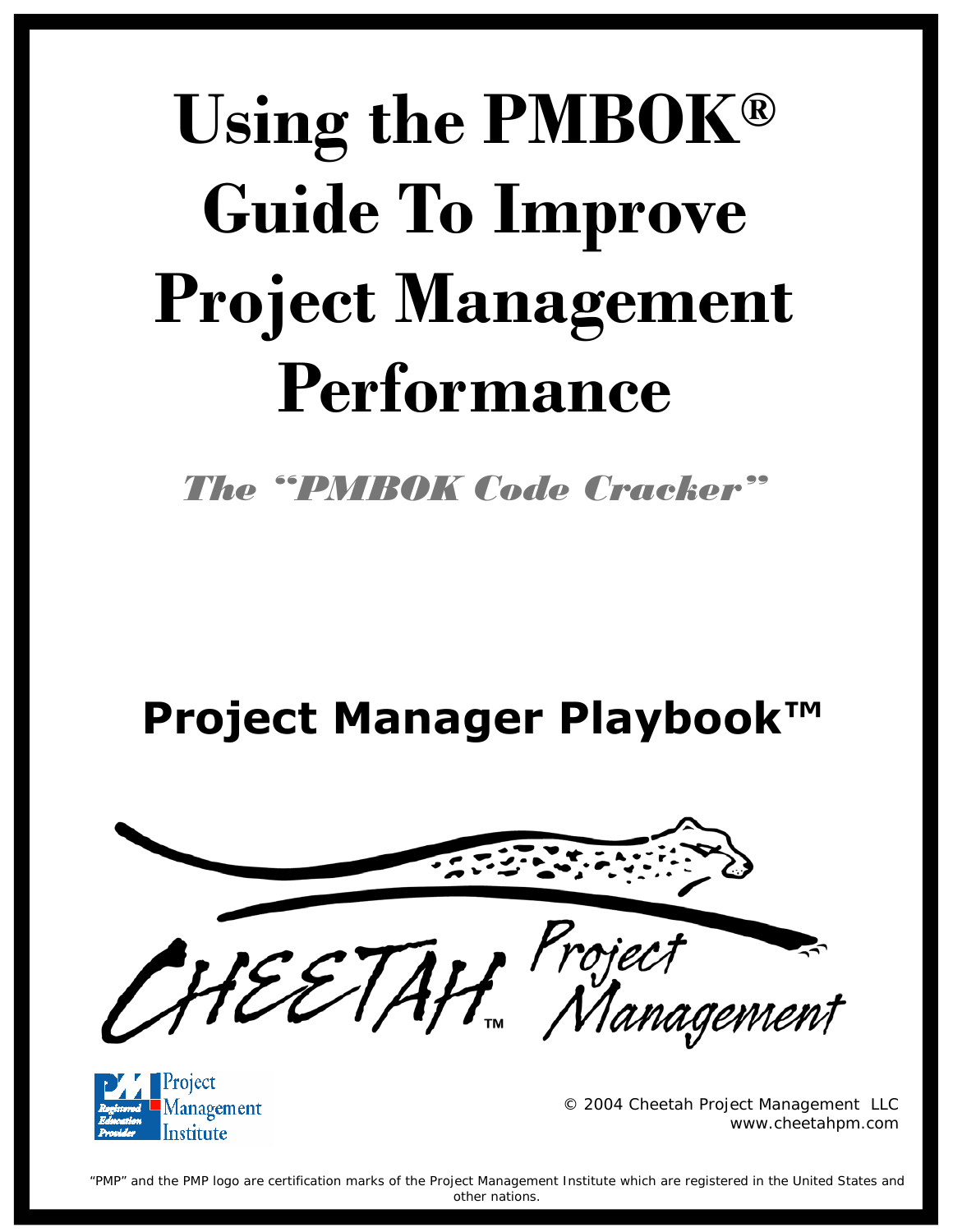# **Using the PMBOK® Guide To Improve Project Management Performance**

*The "PMBOK Code Cracker"*

**Project Manager Playbook™** 





© 2004 Cheetah Project Management LLC www.cheetahpm.com

"PMP" and the PMP logo are certification marks of the Project Management Institute which are registered in the United States and other nations.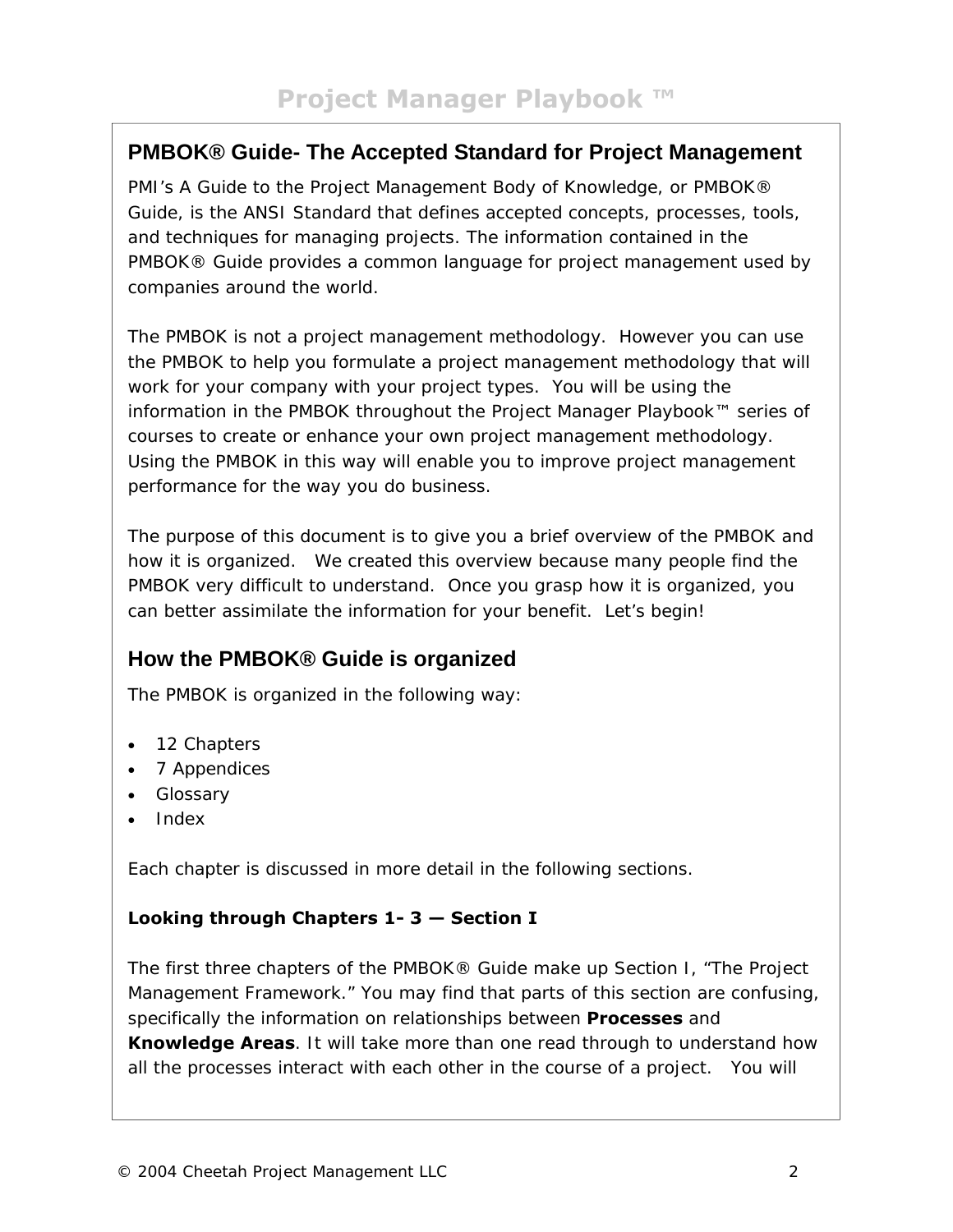## **PMBOK® Guide- The Accepted Standard for Project Management**

PMI's *A Guide to the Project Management Body of Knowledge*, or *PMBOK® Guide*, is the ANSI Standard that defines accepted concepts, processes, tools, and techniques for managing projects. The information contained in the PMBOK® Guide provides a common language for project management used by companies around the world.

The PMBOK is not a project management methodology. However you can use the PMBOK to help you formulate a project management methodology that will work for your company with your project types. You will be using the information in the PMBOK throughout the Project Manager Playbook™ series of courses to create or enhance your own project management methodology. Using the PMBOK in this way will enable you to improve project management performance for the way you do business.

The purpose of this document is to give you a brief overview of the PMBOK and how it is organized. We created this overview because many people find the PMBOK very difficult to understand. Once you grasp how it is organized, you can better assimilate the information for your benefit. Let's begin!

## **How the PMBOK® Guide is organized**

The PMBOK is organized in the following way:

- 12 Chapters
- 7 Appendices
- Glossary
- Index

Each chapter is discussed in more detail in the following sections.

#### **Looking through Chapters 1- 3 — Section I**

The first three chapters of the PMBOK® Guide make up Section I, "The Project Management Framework." You may find that parts of this section are confusing, specifically the information on relationships between **Processes** and **Knowledge Areas**. It will take more than one read through to understand how all the processes interact with each other in the course of a project. You will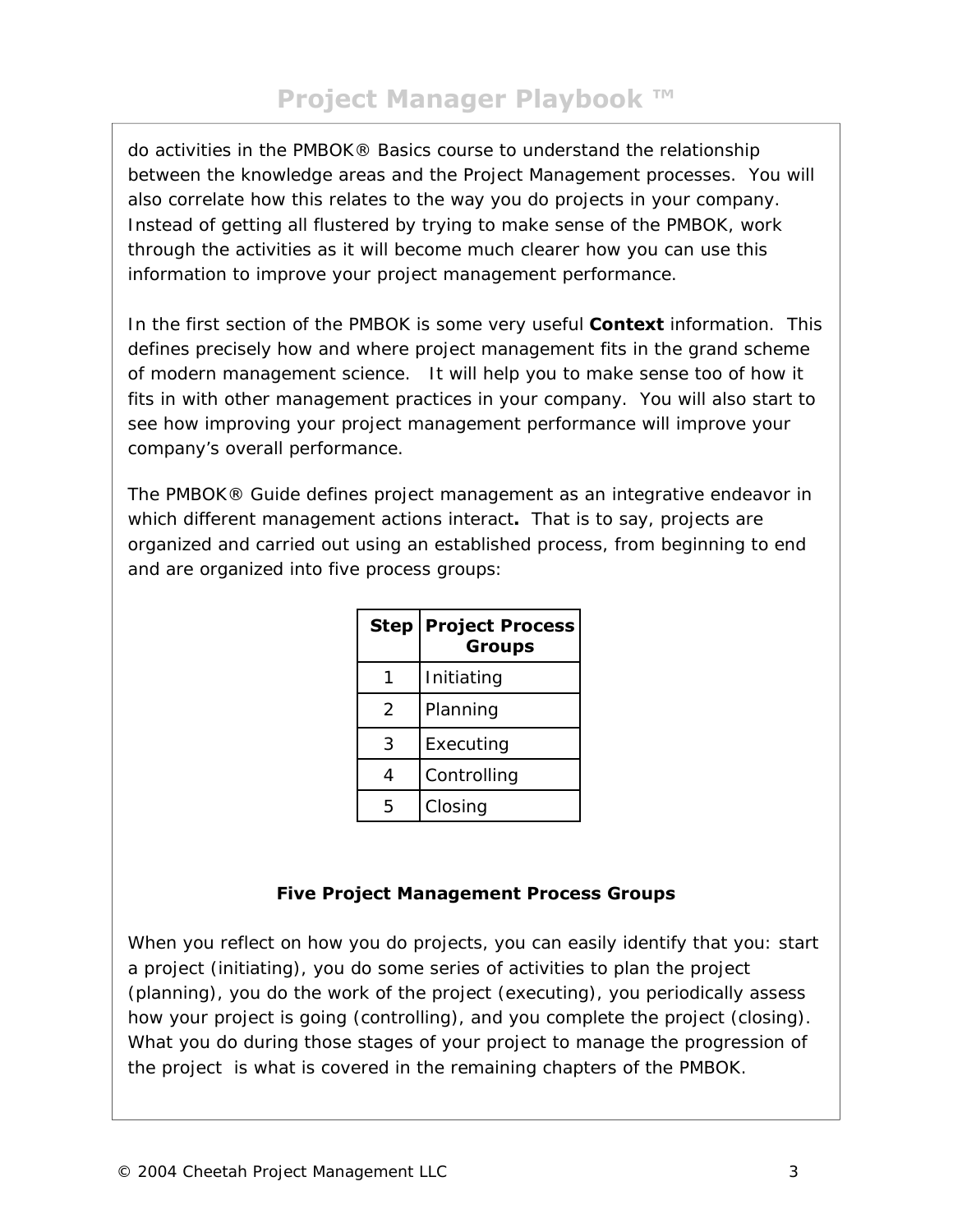do activities in the PMBOK® Basics course to understand the relationship between the knowledge areas and the Project Management processes. You will also correlate how this relates to the way you do projects in your company. Instead of getting all flustered by trying to make sense of the PMBOK, work through the activities as it will become much clearer how you can use this information to improve your project management performance.

In the first section of the PMBOK is some very useful **Context** information. This defines precisely how and where project management fits in the grand scheme of modern management science. It will help you to make sense too of how it fits in with other management practices in your company. You will also start to see how improving your project management performance will improve your company's overall performance.

The PMBOK® Guide defines project management as an integrative endeavor in which different management actions interact**.** That is to say, projects are organized and carried out using an established process, from beginning to end and are organized into five process groups:

| <b>Step</b>   | <b>Project Process</b><br><b>Groups</b> |
|---------------|-----------------------------------------|
|               | Initiating                              |
| $\mathcal{P}$ | Planning                                |
| 3             | Executing                               |
| 4             | Controlling                             |
| 5             | Closing                                 |

## **Five Project Management Process Groups**

When you reflect on how you do projects, you can easily identify that you: start a project (initiating), you do some series of activities to plan the project (planning), you do the work of the project (executing), you periodically assess how your project is going (controlling), and you complete the project (closing). What you do during those stages of your project to manage the progression of the project is what is covered in the remaining chapters of the PMBOK.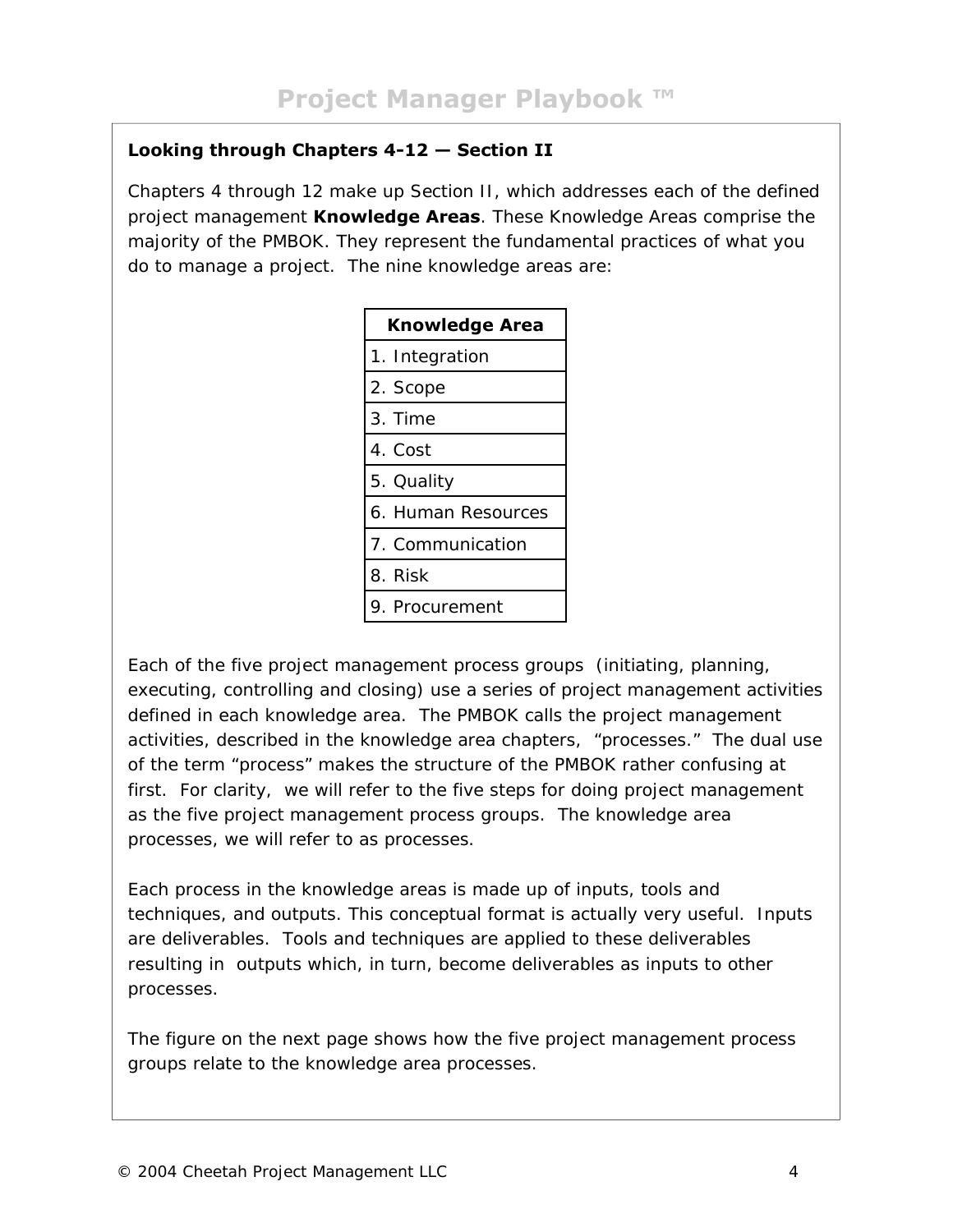## **Looking through Chapters 4-12 — Section II**

Chapters 4 through 12 make up Section II, which addresses each of the defined project management **Knowledge Areas**. These Knowledge Areas comprise the majority of the PMBOK. They represent the fundamental practices of what you do to manage a project. The nine knowledge areas are:

| <b>Knowledge Area</b> |  |
|-----------------------|--|
| 1. Integration        |  |
| 2. Scope              |  |
| 3. Time               |  |
| 4. Cost               |  |
| 5. Quality            |  |
| 6. Human Resources    |  |
| 7. Communication      |  |
| 8. Risk               |  |
| 9. Procurement        |  |

Each of the five project management process groups (initiating, planning, executing, controlling and closing) use a series of project management activities defined in each knowledge area. The PMBOK calls the project management activities, described in the knowledge area chapters, "processes." The dual use of the term "process" makes the structure of the PMBOK rather confusing at first. For clarity, we will refer to the five steps for doing project management as the five project management *process groups*. The knowledge area processes, we will refer to as *processes*.

Each *process* in the knowledge areas is made up of inputs, tools and techniques, and outputs. This conceptual format is actually very useful. Inputs are deliverables. Tools and techniques are applied to these deliverables resulting in outputs which, in turn, become deliverables as inputs to other processes.

The figure on the next page shows how the five project management *process groups* relate to the knowledge area *processes.*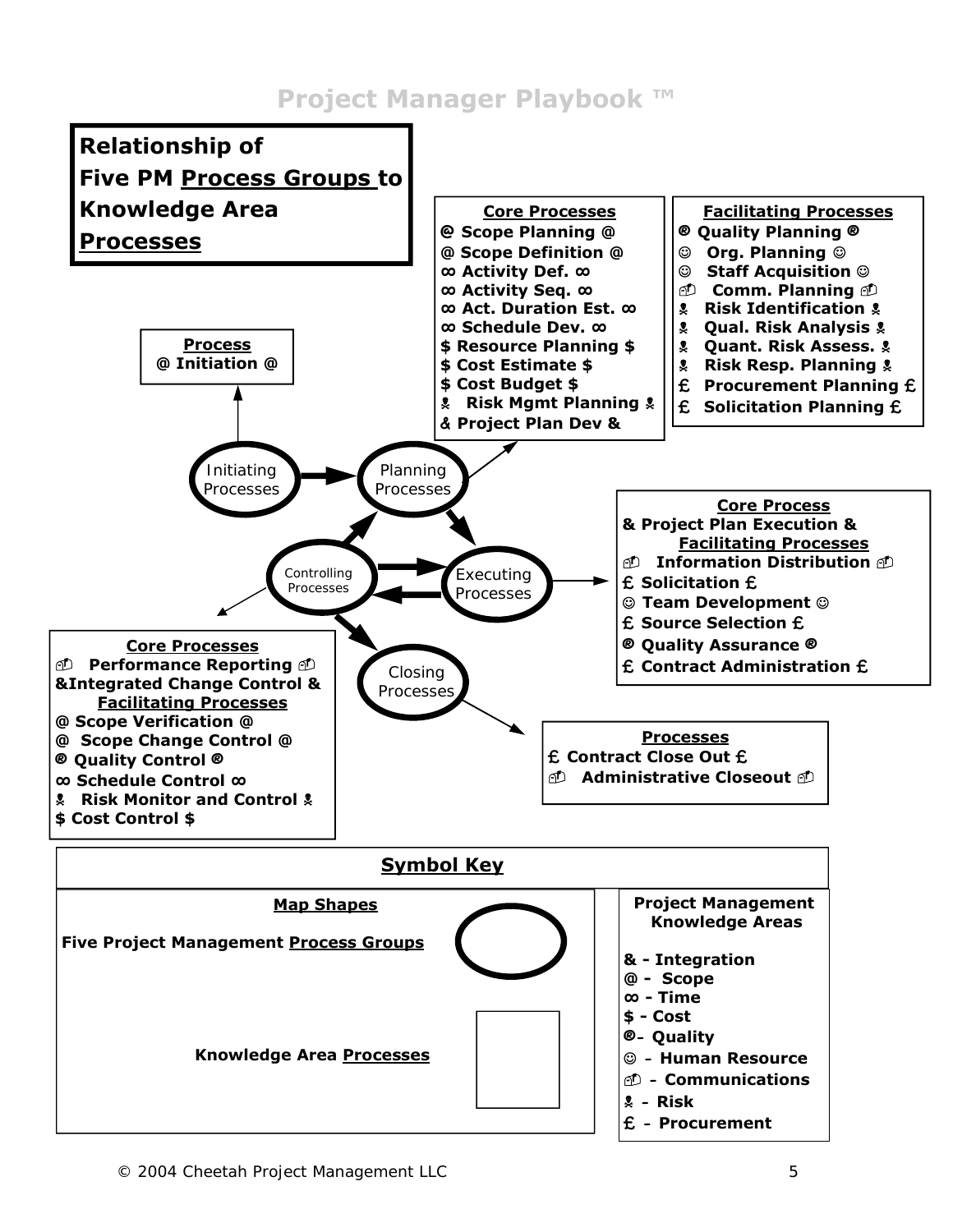# **Project Manager Playbook ™**

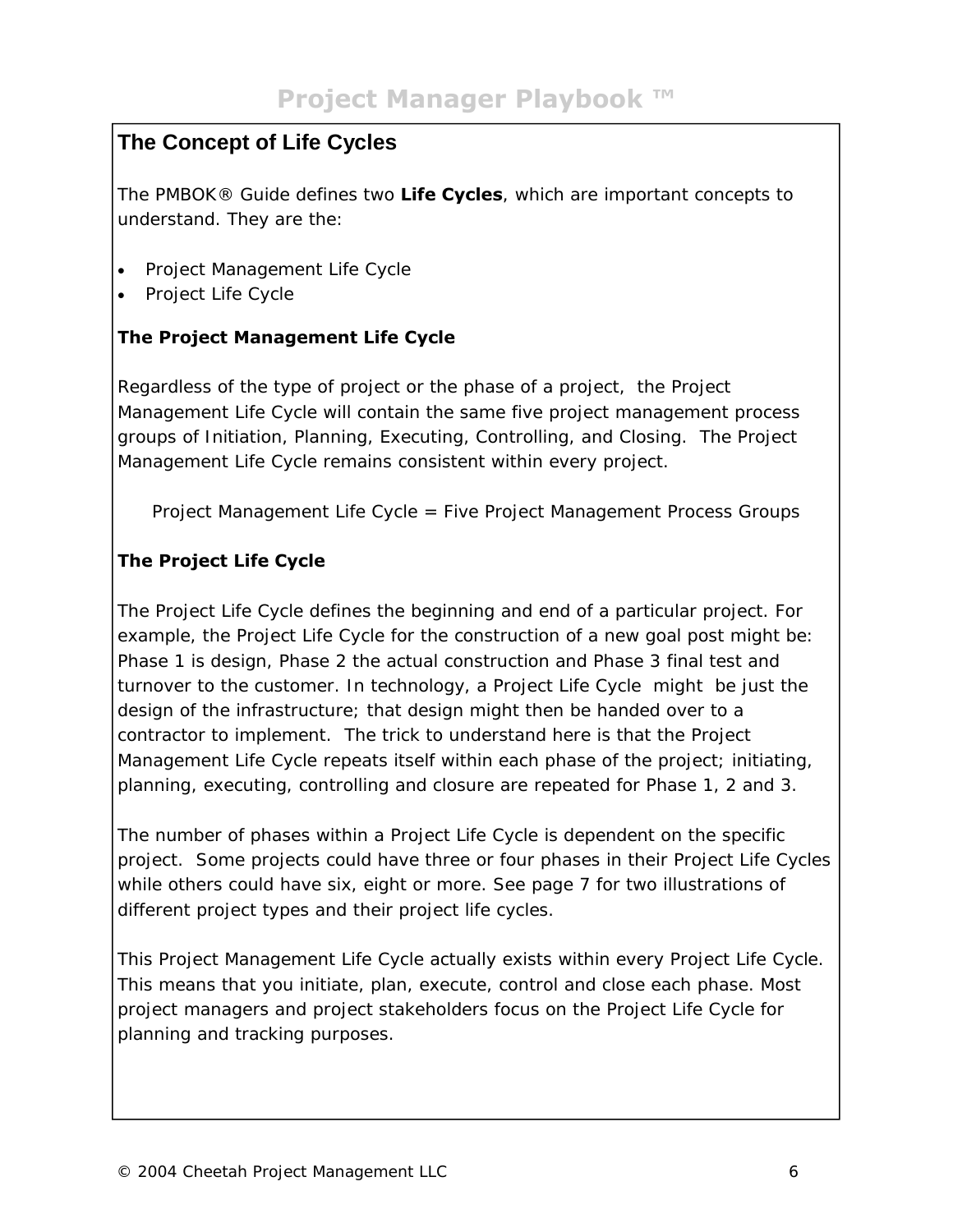## **The Concept of Life Cycles**

The PMBOK® Guide defines two **Life Cycles***,* which are important concepts to understand. They are the:

- Project Management Life Cycle
- Project Life Cycle

## **The Project Management Life Cycle**

Regardless of the type of project or the phase of a project, the Project Management Life Cycle will contain the same five project management process groups of Initiation, Planning, Executing, Controlling, and Closing. The Project Management Life Cycle remains consistent within every project.

Project Management Life Cycle = Five Project Management Process Groups

## **The Project Life Cycle**

The Project Life Cycle defines the beginning and end of a particular project. For example, the Project Life Cycle for the construction of a new goal post might be: Phase 1 is design, Phase 2 the actual construction and Phase 3 final test and turnover to the customer. In technology, a Project Life Cycle might be just the design of the infrastructure; that design might then be handed over to a contractor to implement. The trick to understand here is that the Project Management Life Cycle repeats itself within each phase of the project; initiating, planning, executing, controlling and closure are repeated for Phase 1, 2 and 3.

The number of phases within a Project Life Cycle is dependent on the specific project. Some projects could have three or four phases in their Project Life Cycles while others could have six, eight or more. See page 7 for two illustrations of different project types and their project life cycles.

This Project Management Life Cycle actually exists within every Project Life Cycle. This means that you initiate, plan, execute, control and close each phase. Most project managers and project stakeholders focus on the Project Life Cycle for planning and tracking purposes.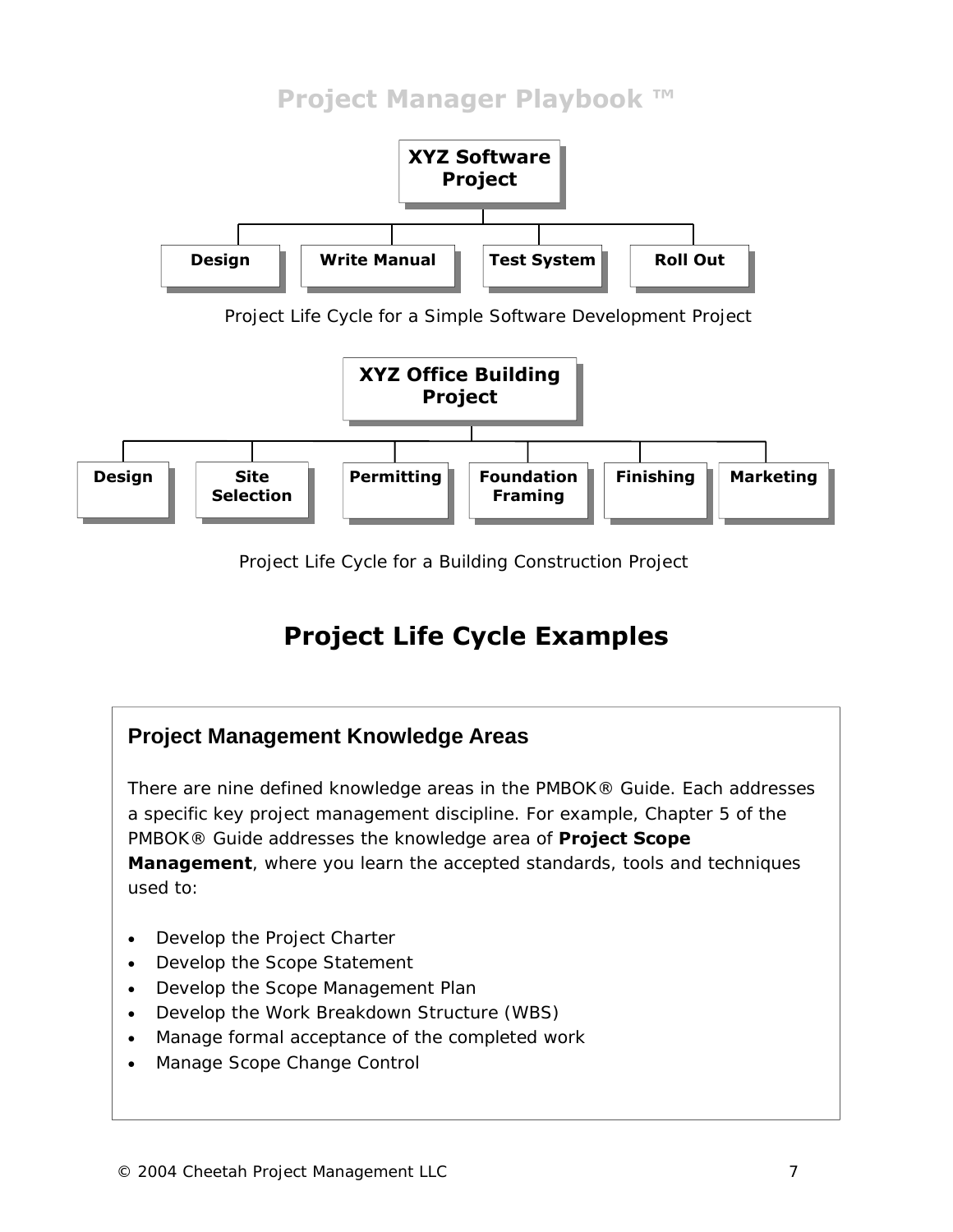# **Project Manager Playbook ™**



Project Life Cycle for a Simple Software Development Project



Project Life Cycle for a Building Construction Project

# **Project Life Cycle Examples**

# **Project Management Knowledge Areas**

There are nine defined knowledge areas in the PMBOK® Guide. Each addresses a specific key project management discipline. For example, Chapter 5 of the PMBOK® Guide addresses the knowledge area of **Project Scope Management**, where you learn the accepted standards, tools and techniques used to:

- Develop the Project Charter
- Develop the Scope Statement
- Develop the Scope Management Plan
- Develop the Work Breakdown Structure (WBS)
- Manage formal acceptance of the completed work
- Manage Scope Change Control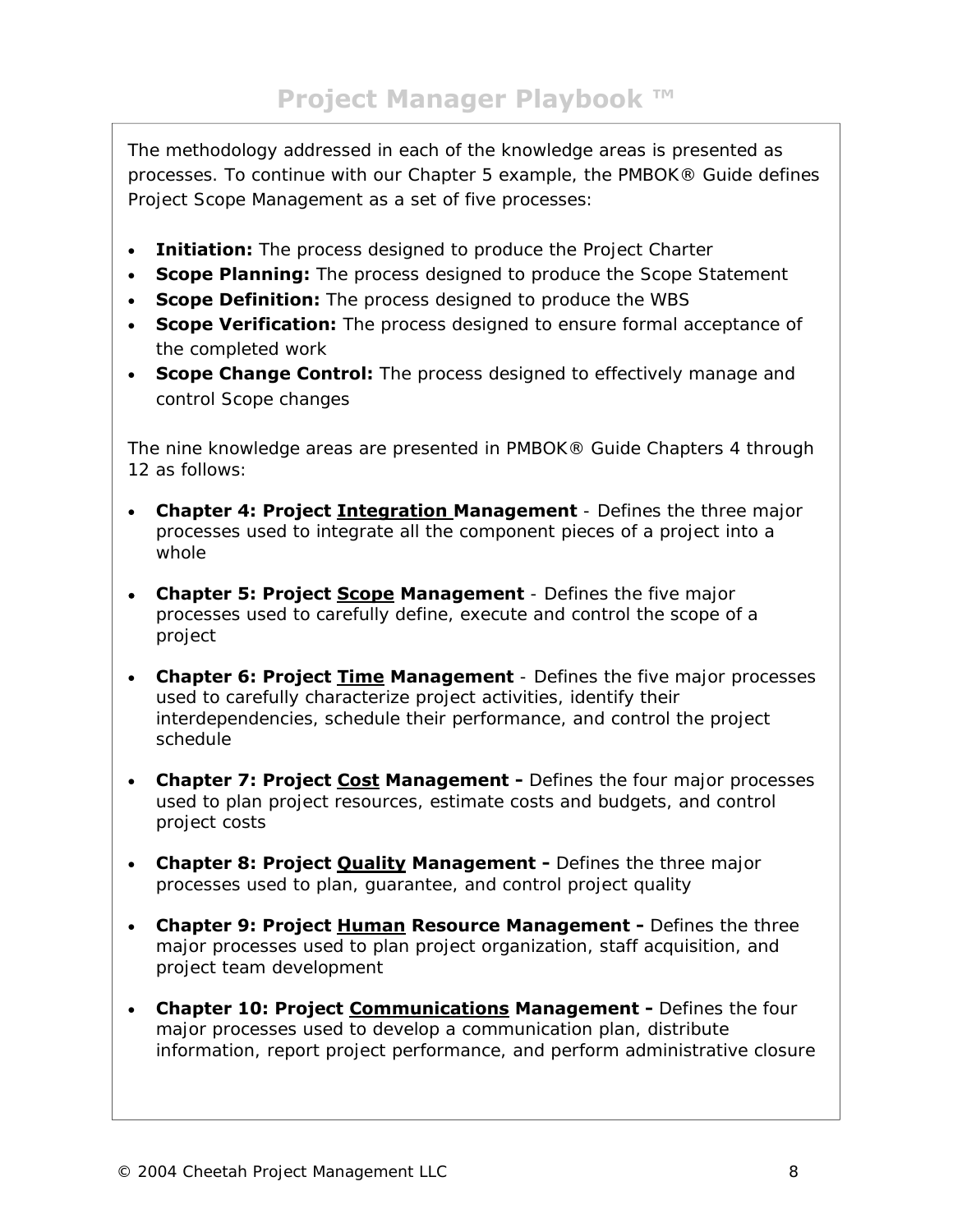The methodology addressed in each of the knowledge areas is presented as processes. To continue with our Chapter 5 example, the PMBOK® Guide defines Project Scope Management as a set of five processes:

- **Initiation:** The process designed to produce the Project Charter
- **Scope Planning:** The process designed to produce the Scope Statement
- **Scope Definition:** The process designed to produce the WBS
- **Scope Verification:** The process designed to ensure formal acceptance of the completed work
- **Scope Change Control:** The process designed to effectively manage and control Scope changes

The nine knowledge areas are presented in PMBOK® Guide Chapters 4 through 12 as follows:

- **Chapter 4: Project Integration Management** Defines the three major processes used to integrate all the component pieces of a project into a whole
- **Chapter 5: Project Scope Management** Defines the five major processes used to carefully define, execute and control the scope of a project
- **Chapter 6: Project Time Management** Defines the five major processes used to carefully characterize project activities, identify their interdependencies, schedule their performance, and control the project schedule
- **Chapter 7: Project Cost Management** Defines the four major processes used to plan project resources, estimate costs and budgets, and control project costs
- **Chapter 8: Project Quality Management** Defines the three major processes used to plan, guarantee, and control project quality
- **Chapter 9: Project Human Resource Management** Defines the three major processes used to plan project organization, staff acquisition, and project team development
- **Chapter 10: Project Communications Management** Defines the four major processes used to develop a communication plan, distribute information, report project performance, and perform administrative closure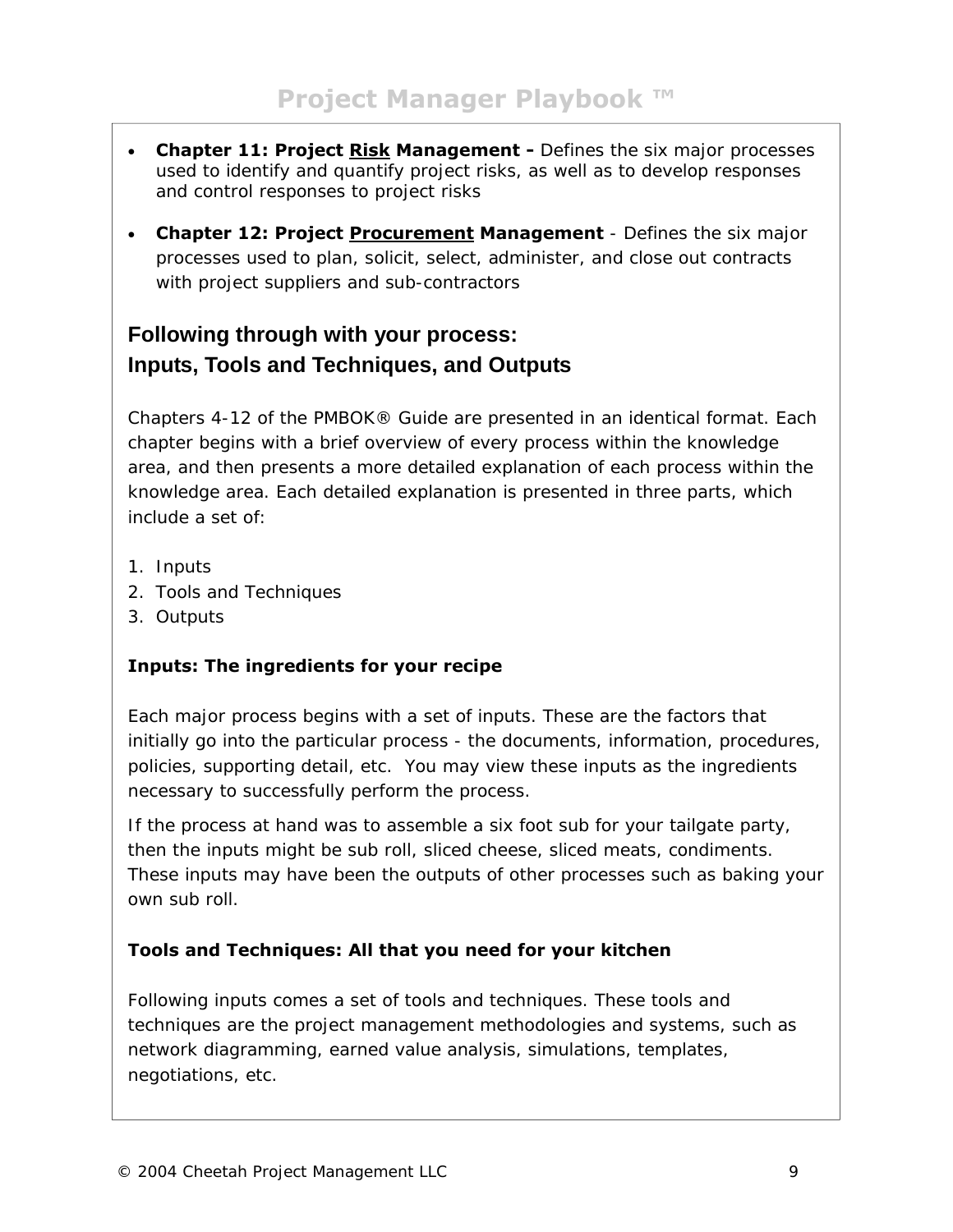- **Chapter 11: Project Risk Management** Defines the six major processes used to identify and quantify project risks, as well as to develop responses and control responses to project risks
- **Chapter 12: Project Procurement Management** Defines the six major processes used to plan, solicit, select, administer, and close out contracts with project suppliers and sub-contractors

## **Following through with your process: Inputs, Tools and Techniques, and Outputs**

Chapters 4-12 of the PMBOK® Guide are presented in an identical format. Each chapter begins with a brief overview of every process within the knowledge area, and then presents a more detailed explanation of each process within the knowledge area. Each detailed explanation is presented in three parts, which include a set of:

- 1. Inputs
- 2. Tools and Techniques
- 3. Outputs

## **Inputs: The ingredients for your recipe**

Each major process begins with a set of inputs. These are the factors that initially go into the particular process - the documents, information, procedures, policies, supporting detail, etc. You may view these inputs as the ingredients necessary to successfully perform the process.

*If the process at hand was to assemble a six foot sub for your tailgate party, then the inputs might be sub roll, sliced cheese, sliced meats, condiments. These inputs may have been the outputs of other processes such as baking your own sub roll.* 

## **Tools and Techniques: All that you need for your kitchen**

Following inputs comes a set of tools and techniques. These tools and techniques are the project management methodologies and systems, such as network diagramming, earned value analysis, simulations, templates, negotiations, etc.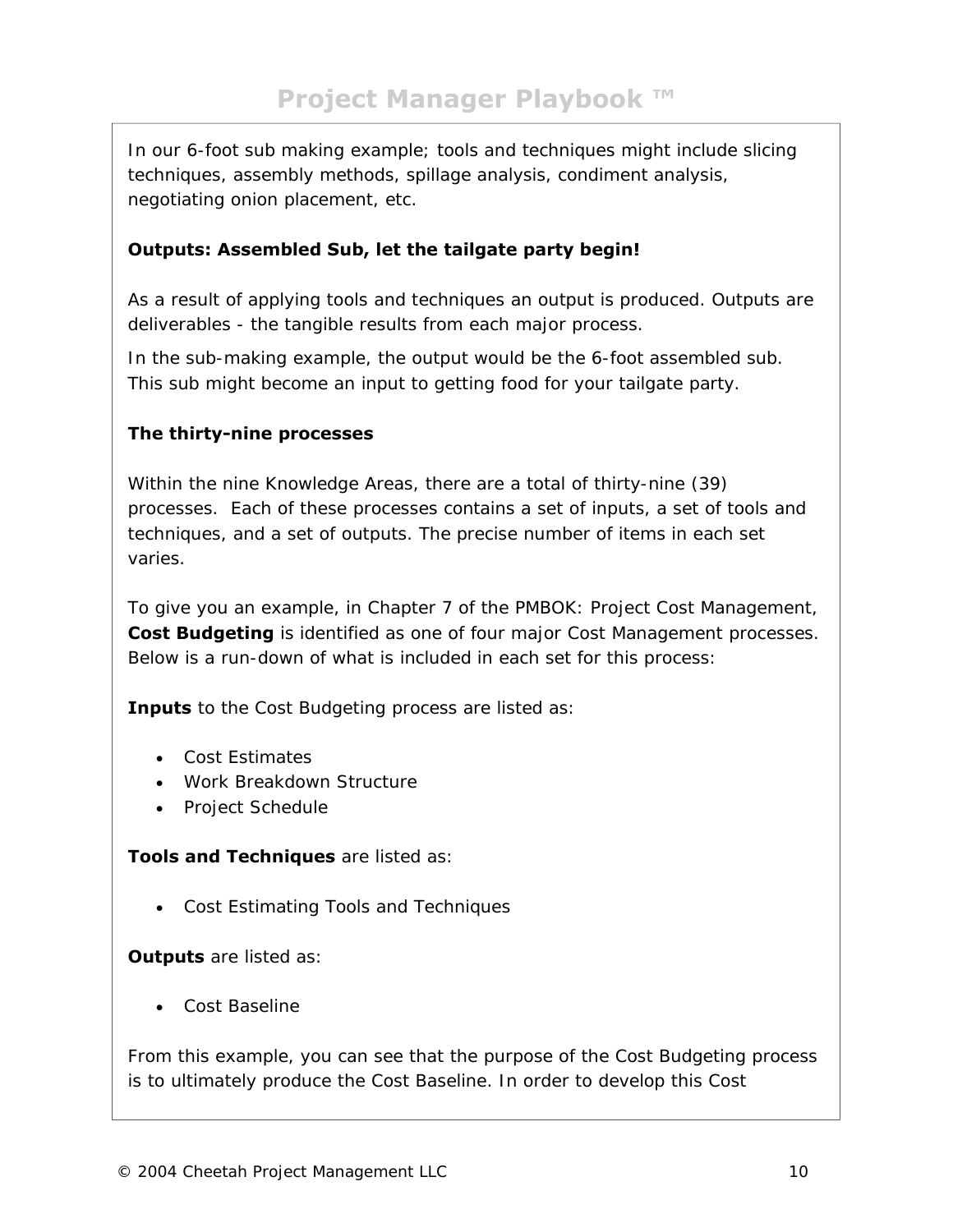*In our 6-foot sub making example; tools and techniques might include slicing techniques, assembly methods, spillage analysis, condiment analysis, negotiating onion placement, etc.* 

## **Outputs: Assembled Sub, let the tailgate party begin!**

As a result of applying tools and techniques an output is produced. Outputs are deliverables - the tangible results from each major process.

*In the sub-making example, the output would be the 6-foot assembled sub. This sub might become an input to getting food for your tailgate party.* 

#### **The thirty-nine processes**

Within the nine Knowledge Areas, there are a total of thirty-nine (39) processes. Each of these processes contains a set of inputs, a set of tools and techniques, and a set of outputs. The precise number of items in each set varies.

To give you an example, in Chapter 7 of the PMBOK: Project Cost Management, **Cost Budgeting** is identified as one of four major Cost Management processes. Below is a run-down of what is included in each set for this process:

**Inputs** to the Cost Budgeting process are listed as:

- Cost Estimates
- Work Breakdown Structure
- Project Schedule

**Tools and Techniques** are listed as:

• Cost Estimating Tools and Techniques

**Outputs** are listed as:

• Cost Baseline

From this example, you can see that the purpose of the Cost Budgeting process is to ultimately produce the Cost Baseline. In order to develop this Cost